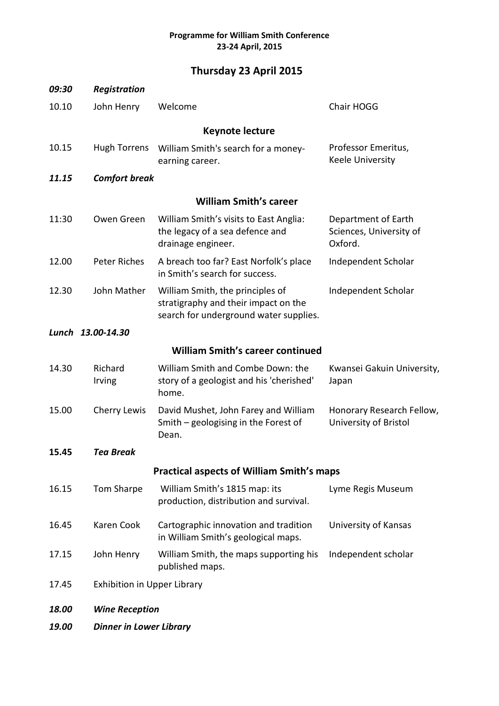## **Programme for William Smith Conference 23-24 April, 2015**

## **Thursday 23 April 2015**

| 09:30                                   | Registration                                     |                                                                                                                    |                                                           |  |  |
|-----------------------------------------|--------------------------------------------------|--------------------------------------------------------------------------------------------------------------------|-----------------------------------------------------------|--|--|
| 10.10                                   | John Henry                                       | Welcome                                                                                                            | Chair HOGG                                                |  |  |
| <b>Keynote lecture</b>                  |                                                  |                                                                                                                    |                                                           |  |  |
| 10.15                                   | <b>Hugh Torrens</b>                              | William Smith's search for a money-<br>earning career.                                                             | Professor Emeritus,<br>Keele University                   |  |  |
| 11.15                                   | <b>Comfort break</b>                             |                                                                                                                    |                                                           |  |  |
| <b>William Smith's career</b>           |                                                  |                                                                                                                    |                                                           |  |  |
| 11:30                                   | Owen Green                                       | William Smith's visits to East Anglia:<br>the legacy of a sea defence and<br>drainage engineer.                    | Department of Earth<br>Sciences, University of<br>Oxford. |  |  |
| 12.00                                   | Peter Riches                                     | A breach too far? East Norfolk's place<br>in Smith's search for success.                                           | Independent Scholar                                       |  |  |
| 12.30                                   | John Mather                                      | William Smith, the principles of<br>stratigraphy and their impact on the<br>search for underground water supplies. | Independent Scholar                                       |  |  |
|                                         | Lunch 13.00-14.30                                |                                                                                                                    |                                                           |  |  |
| <b>William Smith's career continued</b> |                                                  |                                                                                                                    |                                                           |  |  |
| 14.30                                   | Richard<br>Irving                                | William Smith and Combe Down: the<br>story of a geologist and his 'cherished'<br>home.                             | Kwansei Gakuin University,<br>Japan                       |  |  |
| 15.00                                   | <b>Cherry Lewis</b>                              | David Mushet, John Farey and William<br>Smith $-$ geologising in the Forest of<br>Dean.                            | Honorary Research Fellow,<br>University of Bristol        |  |  |
| 15.45                                   | <b>Tea Break</b>                                 |                                                                                                                    |                                                           |  |  |
|                                         | <b>Practical aspects of William Smith's maps</b> |                                                                                                                    |                                                           |  |  |
| 16.15                                   | Tom Sharpe                                       | William Smith's 1815 map: its<br>production, distribution and survival.                                            | Lyme Regis Museum                                         |  |  |
| 16.45                                   | Karen Cook                                       | Cartographic innovation and tradition<br>in William Smith's geological maps.                                       | University of Kansas                                      |  |  |
| 17.15                                   | John Henry                                       | William Smith, the maps supporting his<br>published maps.                                                          | Independent scholar                                       |  |  |
| 17.45                                   |                                                  | <b>Exhibition in Upper Library</b>                                                                                 |                                                           |  |  |
| 18.00                                   |                                                  | <b>Wine Reception</b>                                                                                              |                                                           |  |  |
| 19.00                                   |                                                  | <b>Dinner in Lower Library</b>                                                                                     |                                                           |  |  |